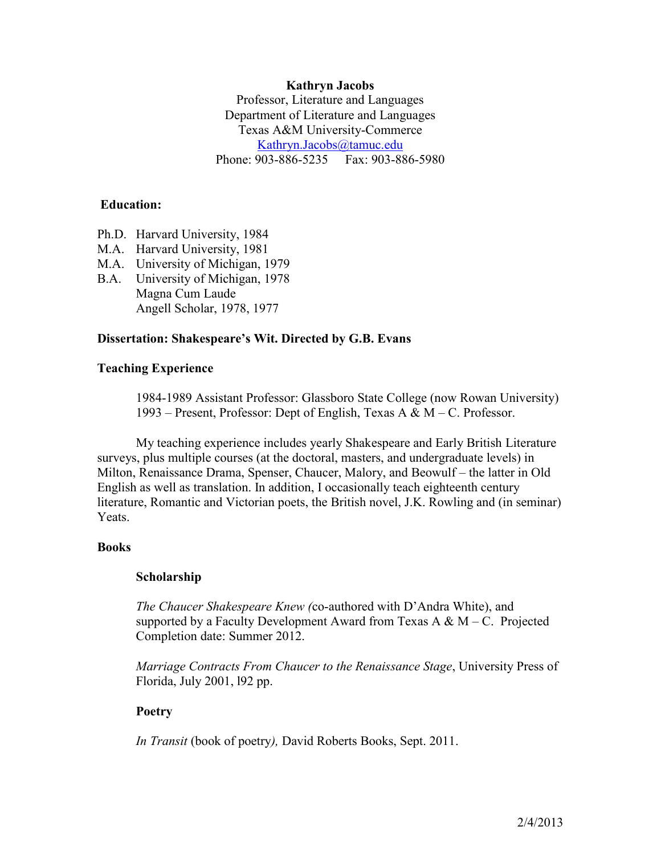# **Kathryn Jacobs**

Professor, Literature and Languages Department of Literature and Languages Texas A&M University-Commerce [Kathryn.Jacobs@tamuc.edu](mailto:Kathryn.Jacobs@tamuc.edu) Phone: 903-886-5235 Fax: 903-886-5980

## **Education:**

- Ph.D. Harvard University, 1984
- M.A. Harvard University, 1981
- M.A. University of Michigan, 1979
- B.A. University of Michigan, 1978 Magna Cum Laude Angell Scholar, 1978, 1977

## **Dissertation: Shakespeare's Wit. Directed by G.B. Evans**

## **Teaching Experience**

1984-1989 Assistant Professor: Glassboro State College (now Rowan University) 1993 – Present, Professor: Dept of English, Texas A & M – C. Professor.

My teaching experience includes yearly Shakespeare and Early British Literature surveys, plus multiple courses (at the doctoral, masters, and undergraduate levels) in Milton, Renaissance Drama, Spenser, Chaucer, Malory, and Beowulf – the latter in Old English as well as translation. In addition, I occasionally teach eighteenth century literature, Romantic and Victorian poets, the British novel, J.K. Rowling and (in seminar) **Yeats**.

# **Books**

#### **Scholarship**

*The Chaucer Shakespeare Knew (*co-authored with D'Andra White), and supported by a Faculty Development Award from Texas A  $\& M - C$ . Projected Completion date: Summer 2012.

*Marriage Contracts From Chaucer to the Renaissance Stage*, University Press of Florida, July 2001, l92 pp.

# **Poetry**

*In Transit* (book of poetry*),* David Roberts Books, Sept. 2011.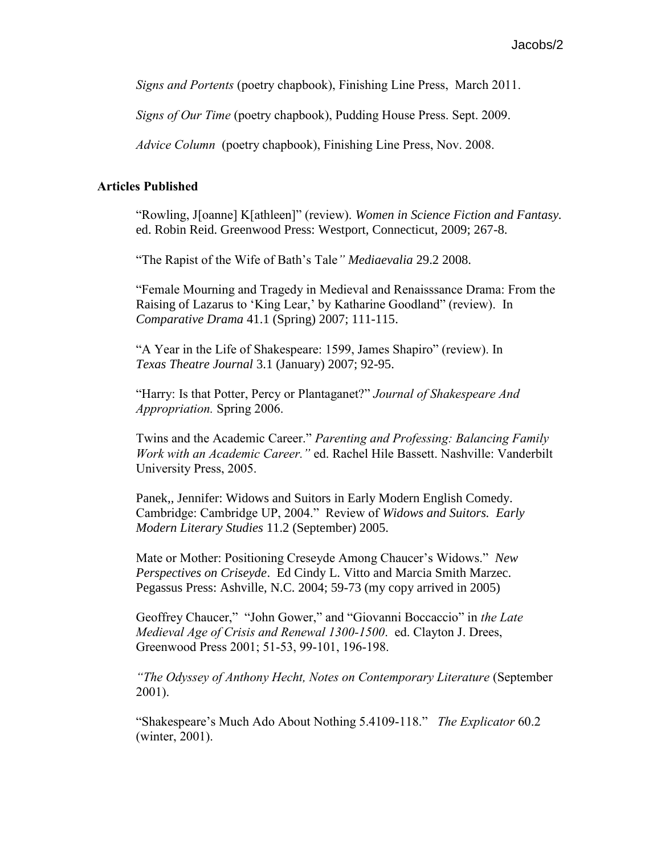*Signs and Portents* (poetry chapbook), Finishing Line Press, March 2011.

*Signs of Our Time* (poetry chapbook), Pudding House Press. Sept. 2009.

*Advice Column* (poetry chapbook), Finishing Line Press, Nov. 2008.

#### **Articles Published**

"Rowling, J[oanne] K[athleen]" (review). *Women in Science Fiction and Fantasy.*  ed. Robin Reid. Greenwood Press: Westport, Connecticut, 2009; 267-8.

"The Rapist of the Wife of Bath's Tale*" Mediaevalia* 29.2 2008.

"Female Mourning and Tragedy in Medieval and Renaisssance Drama: From the Raising of Lazarus to 'King Lear,' by Katharine Goodland" (review). In *Comparative Drama* 41.1 (Spring) 2007; 111-115.

"A Year in the Life of Shakespeare: 1599, James Shapiro" (review). In *Texas Theatre Journal* 3.1 (January) 2007; 92-95.

"Harry: Is that Potter, Percy or Plantaganet?" *Journal of Shakespeare And Appropriation.* Spring 2006.

Twins and the Academic Career." *Parenting and Professing: Balancing Family Work with an Academic Career."* ed. Rachel Hile Bassett. Nashville: Vanderbilt University Press, 2005.

Panek,, Jennifer: Widows and Suitors in Early Modern English Comedy. Cambridge: Cambridge UP, 2004." Review of *Widows and Suitors. Early Modern Literary Studies* 11.2 (September) 2005.

Mate or Mother: Positioning Creseyde Among Chaucer's Widows." *New Perspectives on Criseyde*. Ed Cindy L. Vitto and Marcia Smith Marzec. Pegassus Press: Ashville, N.C. 2004; 59-73 (my copy arrived in 2005)

Geoffrey Chaucer," "John Gower," and "Giovanni Boccaccio" in *the Late Medieval Age of Crisis and Renewal 1300-1500*. ed. Clayton J. Drees, Greenwood Press 2001; 51-53, 99-101, 196-198.

*"The Odyssey of Anthony Hecht, Notes on Contemporary Literature* (September 2001).

"Shakespeare's Much Ado About Nothing 5.4109-118." *The Explicator* 60.2 (winter, 2001).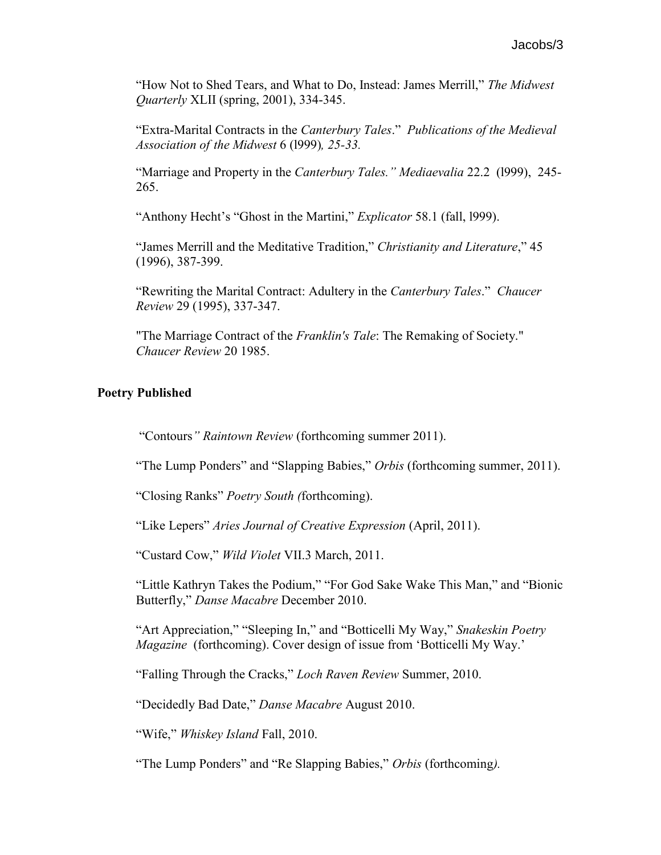"How Not to Shed Tears, and What to Do, Instead: James Merrill," *The Midwest Quarterly* XLII (spring, 2001), 334-345.

"Extra-Marital Contracts in the *Canterbury Tales*." *Publications of the Medieval Association of the Midwest* 6 (l999)*, 25-33.* 

"Marriage and Property in the *Canterbury Tales." Mediaevalia* 22.2 (l999), 245- 265.

"Anthony Hecht's "Ghost in the Martini," *Explicator* 58.1 (fall, l999).

"James Merrill and the Meditative Tradition," *Christianity and Literature*," 45 (1996), 387-399.

"Rewriting the Marital Contract: Adultery in the *Canterbury Tales*." *Chaucer Review* 29 (1995), 337-347.

"The Marriage Contract of the *Franklin's Tale*: The Remaking of Society." *Chaucer Review* 20 1985.

# **Poetry Published**

"Contours*" Raintown Review* (forthcoming summer 2011).

"The Lump Ponders" and "Slapping Babies," *Orbis* (forthcoming summer, 2011).

"Closing Ranks" *Poetry South (*forthcoming).

"Like Lepers" *Aries Journal of Creative Expression* (April, 2011).

"Custard Cow," *Wild Violet* VII.3 March, 2011.

"Little Kathryn Takes the Podium," "For God Sake Wake This Man," and "Bionic Butterfly," *Danse Macabre* December 2010.

"Art Appreciation," "Sleeping In," and "Botticelli My Way," *Snakeskin Poetry Magazine* (forthcoming). Cover design of issue from 'Botticelli My Way.'

"Falling Through the Cracks," *Loch Raven Review* Summer, 2010.

"Decidedly Bad Date," *Danse Macabre* August 2010.

"Wife," *Whiskey Island* Fall, 2010.

"The Lump Ponders" and "Re Slapping Babies," *Orbis* (forthcoming*).*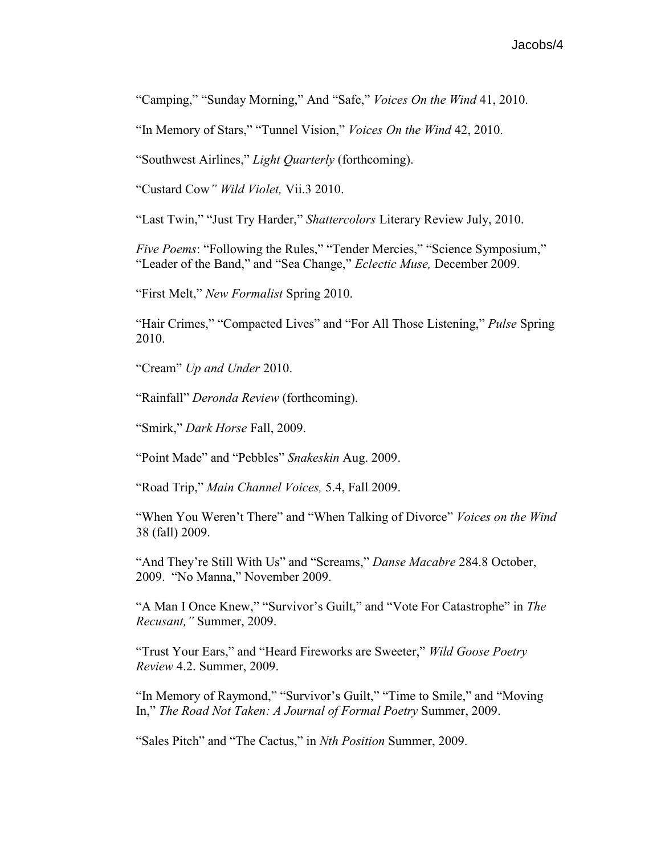"Camping," "Sunday Morning," And "Safe," *Voices On the Wind* 41, 2010.

"In Memory of Stars," "Tunnel Vision," *Voices On the Wind* 42, 2010.

"Southwest Airlines," *Light Quarterly* (forthcoming).

"Custard Cow*" Wild Violet,* Vii.3 2010.

"Last Twin," "Just Try Harder," *Shattercolors* Literary Review July, 2010.

*Five Poems*: "Following the Rules," "Tender Mercies," "Science Symposium," "Leader of the Band," and "Sea Change," *Eclectic Muse,* December 2009.

"First Melt," *New Formalist* Spring 2010.

"Hair Crimes," "Compacted Lives" and "For All Those Listening," *Pulse* Spring 2010.

"Cream" *Up and Under* 2010.

"Rainfall" *Deronda Review* (forthcoming).

"Smirk," *Dark Horse* Fall, 2009.

"Point Made" and "Pebbles" *Snakeskin* Aug. 2009.

"Road Trip," *Main Channel Voices,* 5.4, Fall 2009.

"When You Weren't There" and "When Talking of Divorce" *Voices on the Wind*  38 (fall) 2009.

"And They're Still With Us" and "Screams," *Danse Macabre* 284.8 October, 2009. "No Manna," November 2009.

"A Man I Once Knew," "Survivor's Guilt," and "Vote For Catastrophe" in *The Recusant,"* Summer, 2009.

"Trust Your Ears," and "Heard Fireworks are Sweeter," *Wild Goose Poetry Review* 4.2. Summer, 2009.

"In Memory of Raymond," "Survivor's Guilt," "Time to Smile," and "Moving In," *The Road Not Taken: A Journal of Formal Poetry* Summer, 2009.

"Sales Pitch" and "The Cactus," in *Nth Position* Summer, 2009.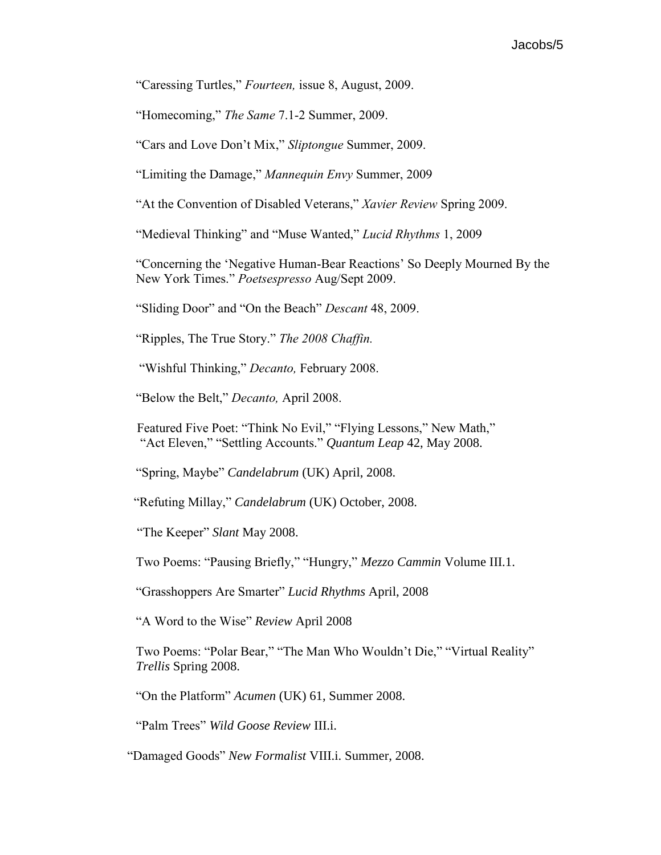# Jacobs/5

"Caressing Turtles," *Fourteen,* issue 8, August, 2009.

"Homecoming," *The Same* 7.1-2 Summer, 2009.

"Cars and Love Don't Mix," *Sliptongue* Summer, 2009.

"Limiting the Damage," *Mannequin Envy* Summer, 2009

"At the Convention of Disabled Veterans," *Xavier Review* Spring 2009.

"Medieval Thinking" and "Muse Wanted," *Lucid Rhythms* 1, 2009

"Concerning the 'Negative Human-Bear Reactions' So Deeply Mourned By the New York Times." *Poetsespresso* Aug/Sept 2009.

"Sliding Door" and "On the Beach" *Descant* 48, 2009.

"Ripples, The True Story." *The 2008 Chaffin.* 

"Wishful Thinking," *Decanto,* February 2008.

"Below the Belt," *Decanto,* April 2008.

 Featured Five Poet: "Think No Evil," "Flying Lessons," New Math," "Act Eleven," "Settling Accounts." *Quantum Leap* 42, May 2008.

"Spring, Maybe" *Candelabrum* (UK) April, 2008.

"Refuting Millay," *Candelabrum* (UK) October, 2008.

"The Keeper" *Slant* May 2008.

Two Poems: "Pausing Briefly," "Hungry," *Mezzo Cammin* Volume III.1.

"Grasshoppers Are Smarter" *Lucid Rhythms* April, 2008

"A Word to the Wise" *Review* April 2008

Two Poems: "Polar Bear," "The Man Who Wouldn't Die," "Virtual Reality" *Trellis* Spring 2008.

"On the Platform" *Acumen* (UK) 61, Summer 2008.

"Palm Trees" *Wild Goose Review* III.i.

"Damaged Goods" *New Formalist* VIII.i. Summer, 2008.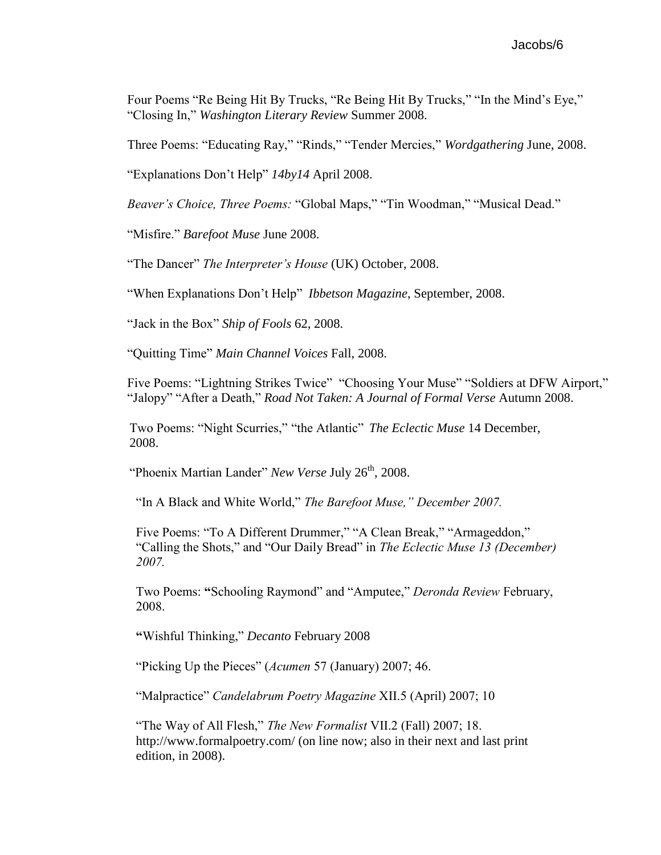Four Poems "Re Being Hit By Trucks, "Re Being Hit By Trucks," "In the Mind's Eye," "Closing In," *Washington Literary Review* Summer 2008.

Three Poems: "Educating Ray," "Rinds," "Tender Mercies," *Wordgathering* June, 2008.

"Explanations Don't Help" *14by14* April 2008.

*Beaver's Choice, Three Poems:* "Global Maps," "Tin Woodman," "Musical Dead."

"Misfire." *Barefoot Muse* June 2008.

"The Dancer" *The Interpreter's House* (UK) October, 2008.

"When Explanations Don't Help" *Ibbetson Magazine*, September, 2008.

"Jack in the Box" *Ship of Fools* 62, 2008.

"Quitting Time" *Main Channel Voices* Fall, 2008.

Five Poems: "Lightning Strikes Twice" "Choosing Your Muse" "Soldiers at DFW Airport," "Jalopy" "After a Death," *Road Not Taken: A Journal of Formal Verse* Autumn 2008.

Two Poems: "Night Scurries," "the Atlantic" *The Eclectic Muse* 14 December, 2008.

"Phoenix Martian Lander" *New Verse July* 26<sup>th</sup>, 2008.

"In A Black and White World," *The Barefoot Muse," December 2007.* 

Five Poems: "To A Different Drummer," "A Clean Break," "Armageddon," "Calling the Shots," and "Our Daily Bread" in *The Eclectic Muse 13 (December) 2007.*

Two Poems: **"**Schooling Raymond" and "Amputee," *Deronda Review* February, 2008.

**"**Wishful Thinking," *Decanto* February 2008

"Picking Up the Pieces" (*Acumen* 57 (January) 2007; 46.

"Malpractice" *Candelabrum Poetry Magazine* XII.5 (April) 2007; 10

"The Way of All Flesh," *The New Formalist* VII.2 (Fall) 2007; 18. <http://www.formalpoetry.com/> (on line now; also in their next and last print edition, in 2008).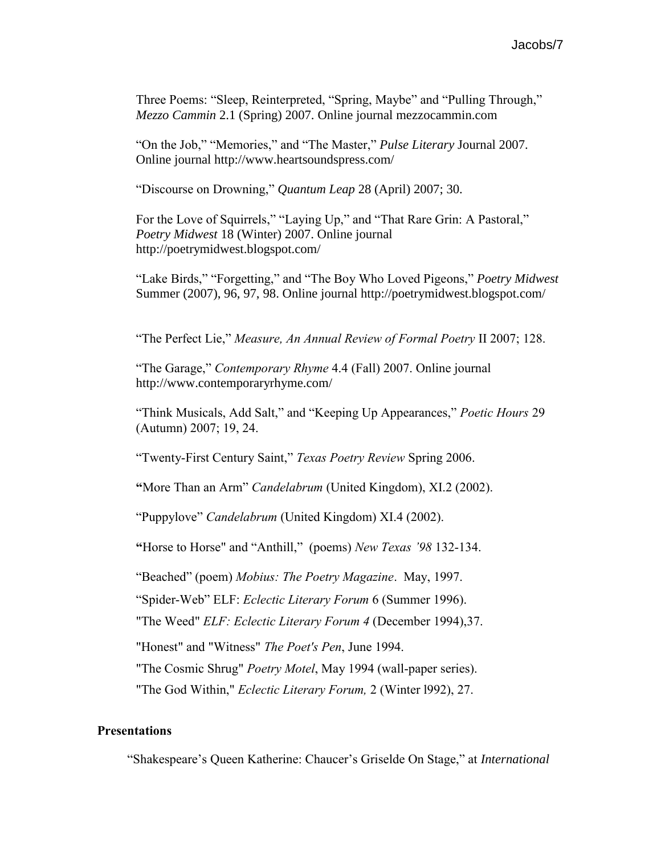Three Poems: "Sleep, Reinterpreted, "Spring, Maybe" and "Pulling Through," *Mezzo Cammin* 2.1 (Spring) 2007. Online journal mezzocammin.com

"On the Job," "Memories," and "The Master," *Pulse Literary* Journal 2007. Online journal<http://www.heartsoundspress.com/>

"Discourse on Drowning," *Quantum Leap* 28 (April) 2007; 30.

For the Love of Squirrels," "Laying Up," and "That Rare Grin: A Pastoral," *Poetry Midwest* 18 (Winter) 2007. Online journal http://poetrymidwest.blogspot.com/

"Lake Birds," "Forgetting," and "The Boy Who Loved Pigeons," *Poetry Midwest* Summer (2007), 96, 97, 98. Online journal http://poetrymidwest.blogspot.com/

"The Perfect Lie," *Measure, An Annual Review of Formal Poetry* II 2007; 128.

"The Garage," *Contemporary Rhyme* 4.4 (Fall) 2007. Online journal http://www.contemporaryrhyme.com/

"Think Musicals, Add Salt," and "Keeping Up Appearances," *Poetic Hours* 29 (Autumn) 2007; 19, 24.

"Twenty-First Century Saint," *Texas Poetry Review* Spring 2006.

**"**More Than an Arm" *Candelabrum* (United Kingdom), XI.2 (2002).

"Puppylove" *Candelabrum* (United Kingdom) XI.4 (2002).

**"**Horse to Horse" and "Anthill," (poems) *New Texas '98* 132-134.

"Beached" (poem) *Mobius: The Poetry Magazine*. May, 1997.

"Spider-Web" ELF: *Eclectic Literary Forum* 6 (Summer 1996).

"The Weed" *ELF: Eclectic Literary Forum 4* (December 1994),37.

"Honest" and "Witness" *The Poet's Pen*, June 1994.

"The Cosmic Shrug" *Poetry Motel*, May 1994 (wall-paper series).

"The God Within," *Eclectic Literary Forum,* 2 (Winter l992), 27.

# **Presentations**

"Shakespeare's Queen Katherine: Chaucer's Griselde On Stage," at *International*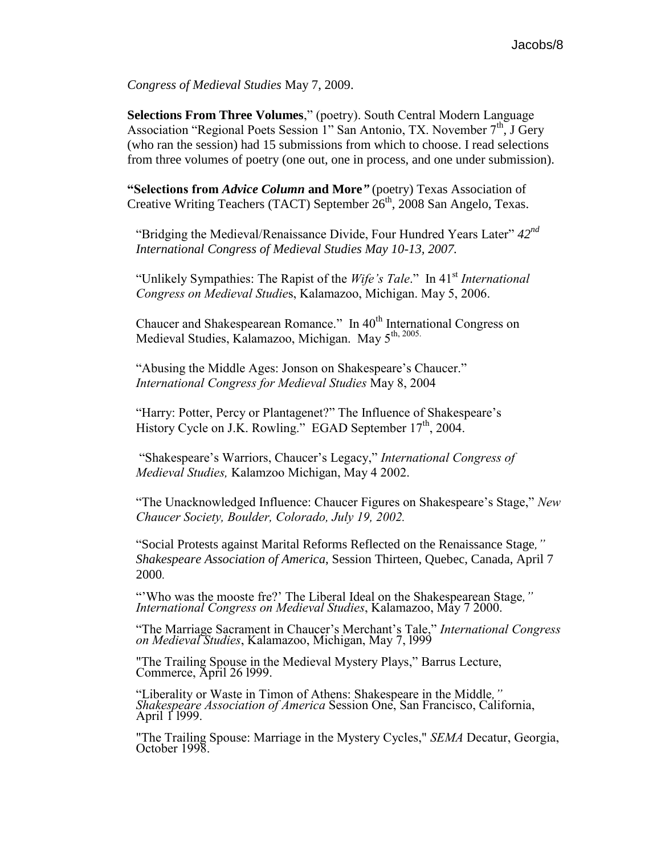*Congress of Medieval Studies* May 7, 2009.

**Selections From Three Volumes**," (poetry). South Central Modern Language Association "Regional Poets Session 1" San Antonio, TX. November 7<sup>th</sup>, J Gery (who ran the session) had 15 submissions from which to choose. I read selections from three volumes of poetry (one out, one in process, and one under submission).

**"Selections from** *Advice Column* **and More***"* (poetry) Texas Association of Creative Writing Teachers (TACT) September  $26<sup>th</sup>$ , 2008 San Angelo, Texas.

"Bridging the Medieval/Renaissance Divide, Four Hundred Years Later" *42nd International Congress of Medieval Studies May 10-13, 2007.*

"Unlikely Sympathies: The Rapist of the *Wife's Tale*." In 41st *International Congress on Medieval Studie*s, Kalamazoo, Michigan. May 5, 2006.

Chaucer and Shakespearean Romance." In 40<sup>th</sup> International Congress on Medieval Studies, Kalamazoo, Michigan. May 5th, 2005.

"Abusing the Middle Ages: Jonson on Shakespeare's Chaucer." *International Congress for Medieval Studies* May 8, 2004

"Harry: Potter, Percy or Plantagenet?" The Influence of Shakespeare's History Cycle on J.K. Rowling." EGAD September 17<sup>th</sup>, 2004.

"Shakespeare's Warriors, Chaucer's Legacy," *International Congress of Medieval Studies,* Kalamzoo Michigan, May 4 2002.

"The Unacknowledged Influence: Chaucer Figures on Shakespeare's Stage," *New Chaucer Society, Boulder, Colorado, July 19, 2002.*

"Social Protests against Marital Reforms Reflected on the Renaissance Stage*," Shakespeare Association of America*, Session Thirteen, Quebec, Canada, April 7 2000.

"'Who was the mooste fre?' The Liberal Ideal on the Shakespearean Stage*," International Congress on Medieval Studies*, Kalamazoo, May 7 2000.

"The Marriage Sacrament in Chaucer's Merchant's Tale," *International Congress on Medieval Studies*, Kalamazoo, Michigan, May 7, l999

"The Trailing Spouse in the Medieval Mystery Plays," Barrus Lecture, Commerce, April 26 l999.

"Liberality or Waste in Timon of Athens: Shakespeare in the Middle*," Shakespeare Association of America* Session One, San Francisco, California, April 1' 1999.

"The Trailing Spouse: Marriage in the Mystery Cycles," *SEMA* Decatur, Georgia, October 1998.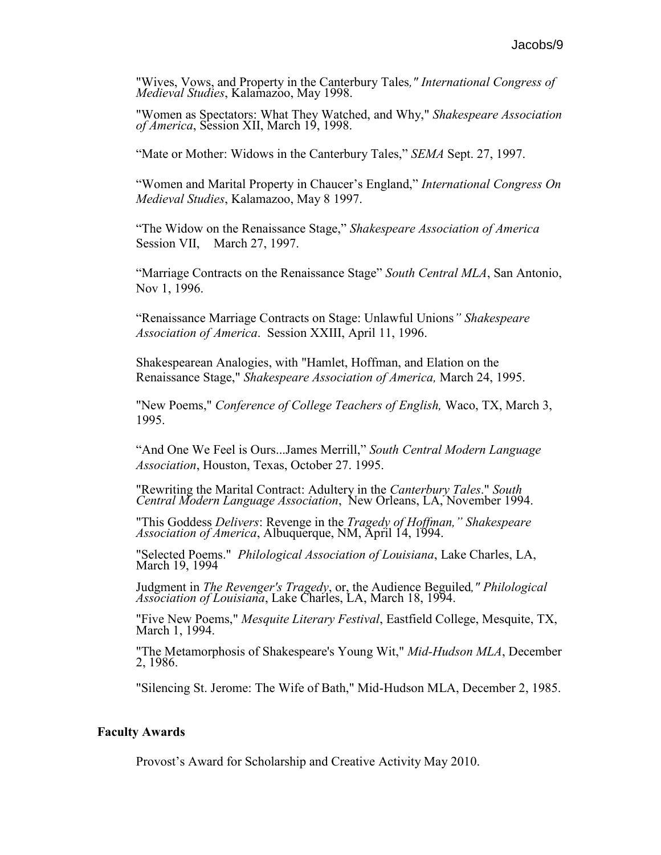"Wives, Vows, and Property in the Canterbury Tales*," International Congress of Medieval Studies*, Kalamazoo, May 1998.

"Women as Spectators: What They Watched, and Why," *Shakespeare Association of America*, Session XII, March 19, 1998.

"Mate or Mother: Widows in the Canterbury Tales," *SEMA* Sept. 27, 1997.

"Women and Marital Property in Chaucer's England," *International Congress On Medieval Studies*, Kalamazoo, May 8 1997.

"The Widow on the Renaissance Stage," *Shakespeare Association of America* Session VII, March 27, 1997.

"Marriage Contracts on the Renaissance Stage" *South Central MLA*, San Antonio, Nov 1, 1996.

"Renaissance Marriage Contracts on Stage: Unlawful Unions*" Shakespeare Association of America*. Session XXIII, April 11, 1996.

Shakespearean Analogies, with "Hamlet, Hoffman, and Elation on the Renaissance Stage," *Shakespeare Association of America,* March 24, 1995.

"New Poems," *Conference of College Teachers of English,* Waco, TX, March 3, 1995.

"And One We Feel is Ours...James Merrill," *South Central Modern Language Association*, Houston, Texas, October 27. 1995.

"Rewriting the Marital Contract: Adultery in the *Canterbury Tales*." *South Central Modern Language Association*, New Orleans, LA, November 1994.

"This Goddess *Delivers*: Revenge in the *Tragedy of Hoffman," Shakespeare Association of America*, Albuquerque, NM, April 14, 1994.

"Selected Poems." *Philological Association of Louisiana*, Lake Charles, LA, March 19, 1994

Judgment in *The Revenger's Tragedy*, or, the Audience Beguiled*," Philological Association of Louisiana*, Lake Charles, LA, March 18, 1994.

"Five New Poems," *Mesquite Literary Festival*, Eastfield College, Mesquite, TX, March 1, 1994.

"The Metamorphosis of Shakespeare's Young Wit," *Mid-Hudson MLA*, December 2, 1986.

"Silencing St. Jerome: The Wife of Bath," Mid-Hudson MLA, December 2, 1985.

#### **Faculty Awards**

Provost's Award for Scholarship and Creative Activity May 2010.